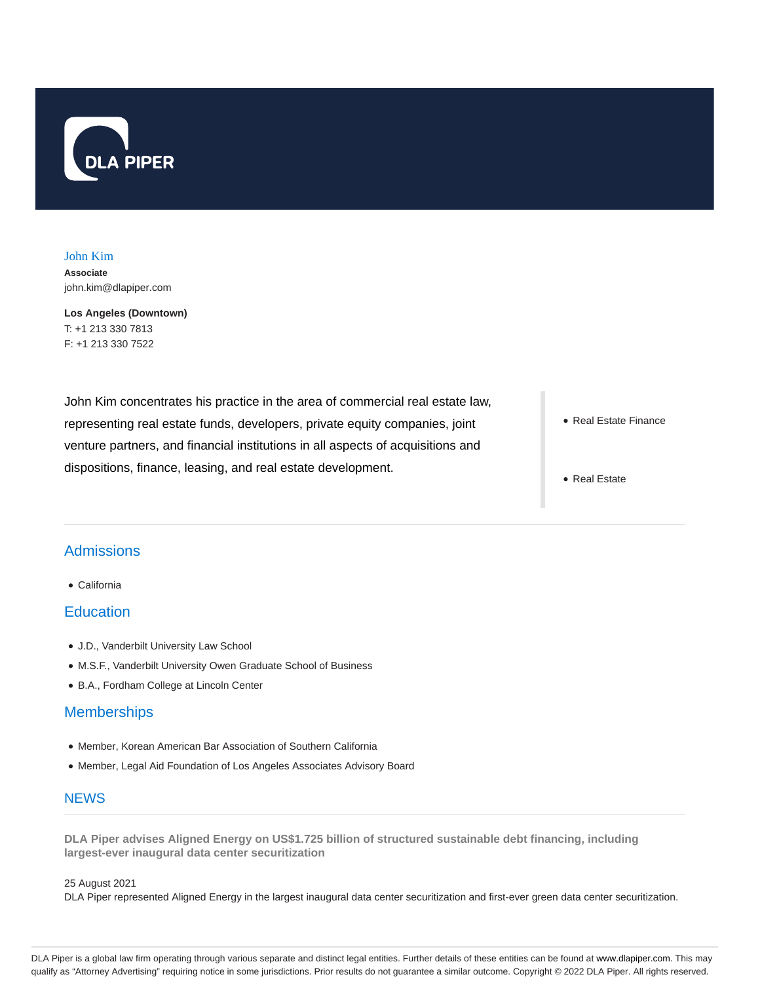

John Kim **Associate** john.kim@dlapiper.com

**Los Angeles (Downtown)** T: +1 213 330 7813 F: +1 213 330 7522

John Kim concentrates his practice in the area of commercial real estate law, representing real estate funds, developers, private equity companies, joint venture partners, and financial institutions in all aspects of acquisitions and dispositions, finance, leasing, and real estate development.

- Real Estate Finance
- Real Estate

# **Admissions**

California

### **Education**

- J.D., Vanderbilt University Law School
- M.S.F., Vanderbilt University Owen Graduate School of Business
- B.A., Fordham College at Lincoln Center

## **Memberships**

- Member, Korean American Bar Association of Southern California
- Member, Legal Aid Foundation of Los Angeles Associates Advisory Board

## **NEWS**

**DLA Piper advises Aligned Energy on US\$1.725 billion of structured sustainable debt financing, including largest-ever inaugural data center securitization**

#### 25 August 2021

DLA Piper represented Aligned Energy in the largest inaugural data center securitization and first-ever green data center securitization.

DLA Piper is a global law firm operating through various separate and distinct legal entities. Further details of these entities can be found at www.dlapiper.com. This may qualify as "Attorney Advertising" requiring notice in some jurisdictions. Prior results do not guarantee a similar outcome. Copyright © 2022 DLA Piper. All rights reserved.